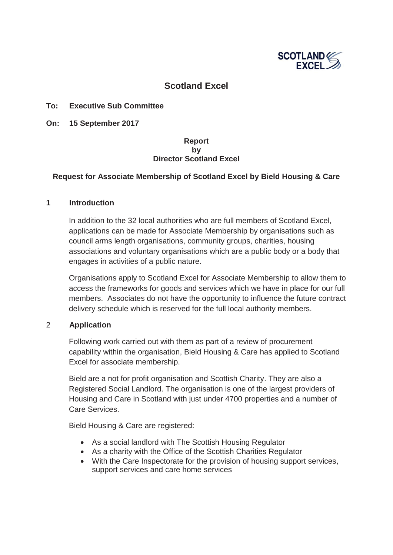

# **Scotland Excel**

## **To: Executive Sub Committee**

**On: 15 September 2017** 

## **Report by Director Scotland Excel**

## **Request for Associate Membership of Scotland Excel by Bield Housing & Care**

#### **1 Introduction**

In addition to the 32 local authorities who are full members of Scotland Excel, applications can be made for Associate Membership by organisations such as council arms length organisations, community groups, charities, housing associations and voluntary organisations which are a public body or a body that engages in activities of a public nature.

Organisations apply to Scotland Excel for Associate Membership to allow them to access the frameworks for goods and services which we have in place for our full members. Associates do not have the opportunity to influence the future contract delivery schedule which is reserved for the full local authority members.

#### 2 **Application**

Following work carried out with them as part of a review of procurement capability within the organisation, Bield Housing & Care has applied to Scotland Excel for associate membership.

Bield are a not for profit organisation and Scottish Charity. They are also a Registered Social Landlord. The organisation is one of the largest providers of Housing and Care in Scotland with just under 4700 properties and a number of Care Services.

Bield Housing & Care are registered:

- As a social landlord with The Scottish Housing Regulator
- As a charity with the Office of the Scottish Charities Regulator
- With the Care Inspectorate for the provision of housing support services, support services and care home services